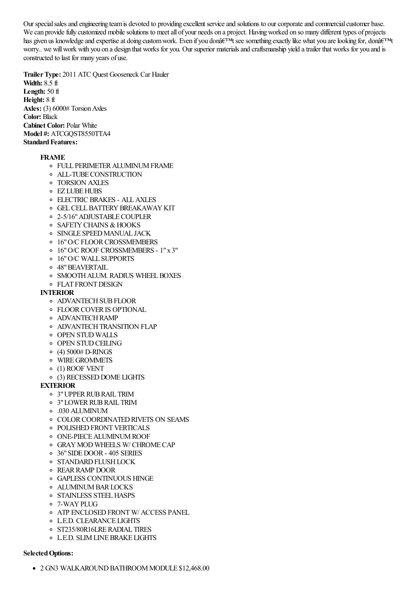Our special sales and engineering team is devoted to providing excellent service and solutions to our corporate and commercial customer base. We can provide fully customized mobile solutions to meet all of your needs on a project. Having worked on so many different types of projects has given us knowledge and expertise at doing custom work. Even if you donâ $\epsilon^{TM}$ t see something exactly like what you are looking for, donâ $\epsilon^{TM}$ t worry.. we willwork with you on a design that works for you. Our superior materialsand craftsmanship yield atrailer that works for you and is constructed to last for many years of use.

**TrailerType:** 2011 ATC Quest Gooseneck Car Hauler **Width:** 8.5 ft **Length:** 50 ft **Height:** 8 ft **Axles:** (3) 6000# Torsion Axles **Color:** Black **Cabinet Color:** Polar White **Model #:** ATCGQST8550TTA4 **Standard Features:** 

#### **FRAME**

- o FULL PERIMETER ALUMINUM FRAME
- ALL-TUBECONSTRUCTION
- TORSION AXLES
- **EZ LUBE HUBS**
- ELECTRIC BRAKES ALLAXLES
- **O** GEL CELL BATTERY BREAK AWAY KIT
- o 2-5/16" ADJUSTABLE COUPLER
- **O SAFETY CHAINS & HOOKS**
- SINGLE SPEEDMANUAL JACK
- o 16" O/C FLOOR CROSSMEMBERS
- 16"O/C ROOF CROSSMEMBERS 1"x 3"
- 16"O/C WALL SUPPORTS
- 48"BEAVERTAIL
- o SMOOTH ALUM. RADIUS WHEEL BOXES
- FLAT FRONTDESIGN

#### **INTERIOR**

- **O ADVANTECH SUB FLOOR**
- FLOORCOVERIS OPTIONAL
- **O** ADVANTECH RAMP
- **O ADVANTECH TRANSITION FLAP**
- OPEN STUD WALLS
- **OPEN STUD CEILING**
- $(4)$  5000# D-RINGS
- WIREGROMMETS
- (1) ROOF VENT
- <sup>o</sup> (3) RECESSED DOME LIGHTS

## **EXTERIOR**

- 3"UPPERRUBRAIL TRIM
- 3"LOWERRUBRAIL TRIM
- .030 ALUMINUM
- **O COLOR COORDINATED RIVETS ON SEAMS**
- o POLISHED FRONT VERTICALS
- ONE-PIECEALUMINUMROOF
- GRAYMOD WHEELS W/ CHROMECAP
- 36"SIDEDOOR- 405 SERIES
- o STANDARD FLUSH LOCK
- REARRAMP DOOR
- GAPLESS CONTINUOUS HINGE
- **O** ALUMINUM BAR LOCKS
- o STAINLESS STEEL HASPS
- 7-WAYPLUG
- o ATP ENCLOSED FRONT W/ ACCESS PANEL
- L.E.D. CLEARANCE LIGHTS
- o ST235/80R16LRE RADIAL TIRES
- L.E.D. SLIMLINEBRAKE LIGHTS

#### **Selected Options:**

• 2 GN3 WALKAROUND BATHROOM MODULE \$12,468.00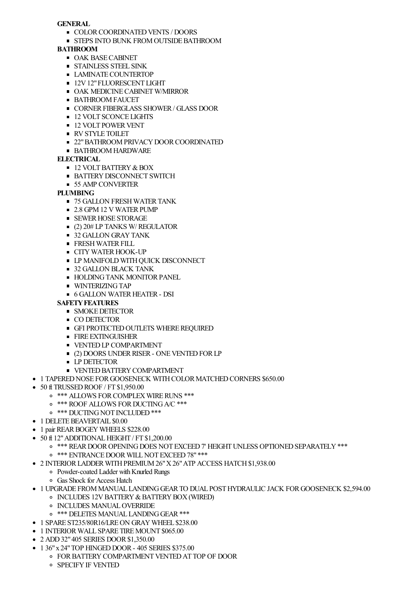### **GENERAL**

- **COLOR COORDINATED VENTS / DOORS**
- **STEPS INTO BUNK FROM OUTSIDE BATHROOM**

## **BATHROOM**

- **OAK BASE CABINET**
- **STAINLESS STEEL SINK**
- **LAMINATE COUNTERTOP**
- **12V12" FLUORESCENT LIGHT**
- **OAK MEDICINE CABINET W/MIRROR**
- **BATHROOM FAUCET**
- **CORNER FIBERGLASS SHOWER / GLASS DOOR**
- **12 VOLT SCONCE LIGHTS**
- **12 VOLT POWER VENT**
- RVSTYLE TOILET
- **22" BATHROOM PRIVACY DOOR COORDINATED**
- **BATHROOM HARDWARE**

## **ELECTRICAL**

- $\blacksquare$  12 VOLT BATTERY & BOX
- **BATTERY DISCONNECT SWITCH**
- 55 AMP CONVERTER

# **PLUMBING**

- **75 GALLON FRESH WATER TANK**
- 2.8 GPM 12 V WATER PUMP
- **SEWER HOSE STORAGE**
- (2) 20# LP TANKS W/ REGULATOR
- **32 GALLON GRAY TANK**
- **FRESH WATER FILL**
- **CITY WATER HOOK-UP**
- **LP MANIFOLD WITH QUICK DISCONNECT**
- 32 GALLON BLACK TANK
- **HOLDING TANK MONITOR PANEL**
- **WINTERIZING TAP**
- **6 GALLON WATER HEATER DSI**

## **SAFETY FEATURES**

- **SMOKE DETECTOR**
- **CO DETECTOR**
- **GFI PROTECTED OUTLETS WHERE REQUIRED**
- **FIRE EXTINGUISHER**
- **UPIDE VENTED LP COMPARTMENT**
- (2) DOORS UNDER RISER ONE VENTED FOR LP
- **LP DETECTOR**
- **UENTED BATTERY COMPARTMENT**
- 1 TAPERED NOSE FOR GOOSENECK WITH COLOR MATCHED CORNERS \$650.00
- 50 ft TRUSSEDROOF / FT \$1,950.00
	- o \*\*\* ALLOWS FOR COMPLEX WIRE RUNS \*\*\*
	- o \*\*\* ROOF ALLOWS FOR DUCTING A/C \*\*\*
	- o \*\*\* DUCTING NOT INCLUDED \*\*\*
- $\bullet$  1 DELETE BEAVERTAIL \$0.00
- 1 pair REAR BOGEY WHEELS \$228.00
- 50 ft 12" ADDITIONAL HEIGHT / FT \$1,200.00
	- o \*\*\* REAR DOOR OPENING DOES NOT EXCEED 7' HEIGHT UNLESS OPTIONED SEPARATELY \*\*\*
	- o \*\*\* ENTRANCE DOOR WILL NOT EXCEED 78" \*\*\*
- 2 INTERIOR LADDER WITH PREMIUM 26" X 26" ATP ACCESS HATCH \$1,938.00
	- Powder-coated Ladder with Knurled Rungs
	- Gas Shock for Access Hatch
- 1 UPGRADE FROMMANUAL LANDINGGEARTO DUAL POSTHYDRAULIC JACK FORGOOSENECK \$2,594.00
	- o INCLUDES 12V BATTERY & BATTERY BOX (WIRED)
	- **O INCLUDES MANUAL OVERRIDE**
	- o \*\*\* DELETES MANUAL LANDING GEAR \*\*\*
- 1 SPARE ST235/80R16/LREON GRAY WHEEL \$238.00
- 1 INTERIOR WALL SPARE TIRE MOUNT \$065.00
- 2 ADD32"405 SERIES DOOR\$1,350.00
- $\bullet$  1 36" x 24" TOP HINGED DOOR 405 SERIES \$375.00
	- **OF CORPARTMENT VENTED AT TOP OF DOOR** 
		- **O** SPECIFY IF VENTED